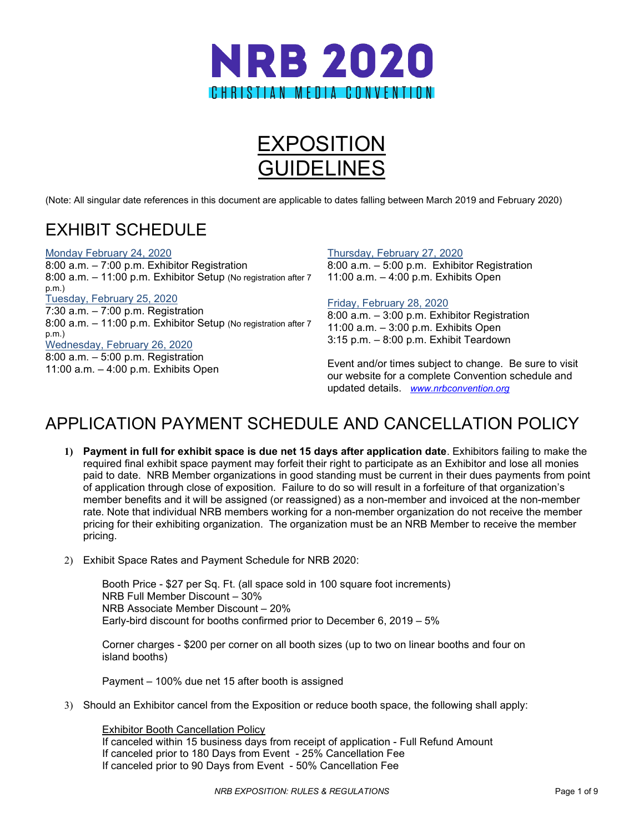



(Note: All singular date references in this document are applicable to dates falling between March 2019 and February 2020)

# EXHIBIT SCHEDULE

#### Monday February 24, 2020

8:00 a.m. – 7:00 p.m. Exhibitor Registration 8:00 a.m. – 11:00 p.m. Exhibitor Setup (No registration after 7 p.m.) Tuesday, February 25, 2020 7:30 a.m. – 7:00 p.m. Registration 8:00 a.m. – 11:00 p.m. Exhibitor Setup (No registration after 7 p.m.) Wednesday, February 26, 2020 8:00 a.m. – 5:00 p.m. Registration 11:00 a.m. – 4:00 p.m. Exhibits Open

#### Thursday, February 27, 2020

8:00 a.m. – 5:00 p.m. Exhibitor Registration 11:00 a.m. – 4:00 p.m. Exhibits Open

#### Friday, February 28, 2020

8:00 a.m. – 3:00 p.m. Exhibitor Registration 11:00 a.m. – 3:00 p.m. Exhibits Open 3:15 p.m. – 8:00 p.m. Exhibit Teardown

Event and/or times subject to change. Be sure to visit our website for a complete Convention schedule and updated details. *[www.nrbconvention.org](http://www.nrbconvention.org/)*

# APPLICATION PAYMENT SCHEDULE AND CANCELLATION POLICY

- **1) Payment in full for exhibit space is due net 15 days after application date**. Exhibitors failing to make the required final exhibit space payment may forfeit their right to participate as an Exhibitor and lose all monies paid to date. NRB Member organizations in good standing must be current in their dues payments from point of application through close of exposition. Failure to do so will result in a forfeiture of that organization's member benefits and it will be assigned (or reassigned) as a non-member and invoiced at the non-member rate. Note that individual NRB members working for a non-member organization do not receive the member pricing for their exhibiting organization. The organization must be an NRB Member to receive the member pricing.
- 2) Exhibit Space Rates and Payment Schedule for NRB 2020:

Booth Price - \$27 per Sq. Ft. (all space sold in 100 square foot increments) NRB Full Member Discount – 30% NRB Associate Member Discount – 20% Early-bird discount for booths confirmed prior to December 6, 2019 – 5%

Corner charges - \$200 per corner on all booth sizes (up to two on linear booths and four on island booths)

Payment – 100% due net 15 after booth is assigned

3) Should an Exhibitor cancel from the Exposition or reduce booth space, the following shall apply:

Exhibitor Booth Cancellation Policy If canceled within 15 business days from receipt of application - Full Refund Amount If canceled prior to 180 Days from Event - 25% Cancellation Fee If canceled prior to 90 Days from Event - 50% Cancellation Fee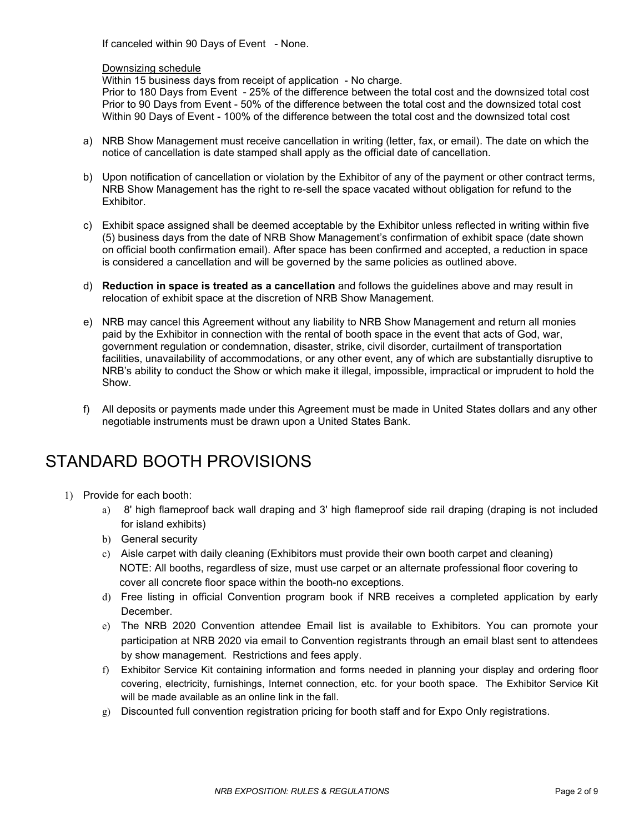If canceled within 90 Days of Event - None.

#### Downsizing schedule

Within 15 business days from receipt of application - No charge.

Prior to 180 Days from Event - 25% of the difference between the total cost and the downsized total cost Prior to 90 Days from Event - 50% of the difference between the total cost and the downsized total cost Within 90 Days of Event - 100% of the difference between the total cost and the downsized total cost

- a) NRB Show Management must receive cancellation in writing (letter, fax, or email). The date on which the notice of cancellation is date stamped shall apply as the official date of cancellation.
- b) Upon notification of cancellation or violation by the Exhibitor of any of the payment or other contract terms, NRB Show Management has the right to re-sell the space vacated without obligation for refund to the Exhibitor.
- c) Exhibit space assigned shall be deemed acceptable by the Exhibitor unless reflected in writing within five (5) business days from the date of NRB Show Management's confirmation of exhibit space (date shown on official booth confirmation email). After space has been confirmed and accepted, a reduction in space is considered a cancellation and will be governed by the same policies as outlined above.
- d) **Reduction in space is treated as a cancellation** and follows the guidelines above and may result in relocation of exhibit space at the discretion of NRB Show Management.
- e) NRB may cancel this Agreement without any liability to NRB Show Management and return all monies paid by the Exhibitor in connection with the rental of booth space in the event that acts of God, war, government regulation or condemnation, disaster, strike, civil disorder, curtailment of transportation facilities, unavailability of accommodations, or any other event, any of which are substantially disruptive to NRB's ability to conduct the Show or which make it illegal, impossible, impractical or imprudent to hold the Show.
- f) All deposits or payments made under this Agreement must be made in United States dollars and any other negotiable instruments must be drawn upon a United States Bank.

### STANDARD BOOTH PROVISIONS

- 1) Provide for each booth:
	- a) 8' high flameproof back wall draping and 3' high flameproof side rail draping (draping is not included for island exhibits)
	- b) General security
	- c) Aisle carpet with daily cleaning (Exhibitors must provide their own booth carpet and cleaning) NOTE: All booths, regardless of size, must use carpet or an alternate professional floor covering to cover all concrete floor space within the booth-no exceptions.
	- d) Free listing in official Convention program book if NRB receives a completed application by early December.
	- e) The NRB 2020 Convention attendee Email list is available to Exhibitors. You can promote your participation at NRB 2020 via email to Convention registrants through an email blast sent to attendees by show management. Restrictions and fees apply.
	- f) Exhibitor Service Kit containing information and forms needed in planning your display and ordering floor covering, electricity, furnishings, Internet connection, etc. for your booth space. The Exhibitor Service Kit will be made available as an online link in the fall.
	- g) Discounted full convention registration pricing for booth staff and for Expo Only registrations.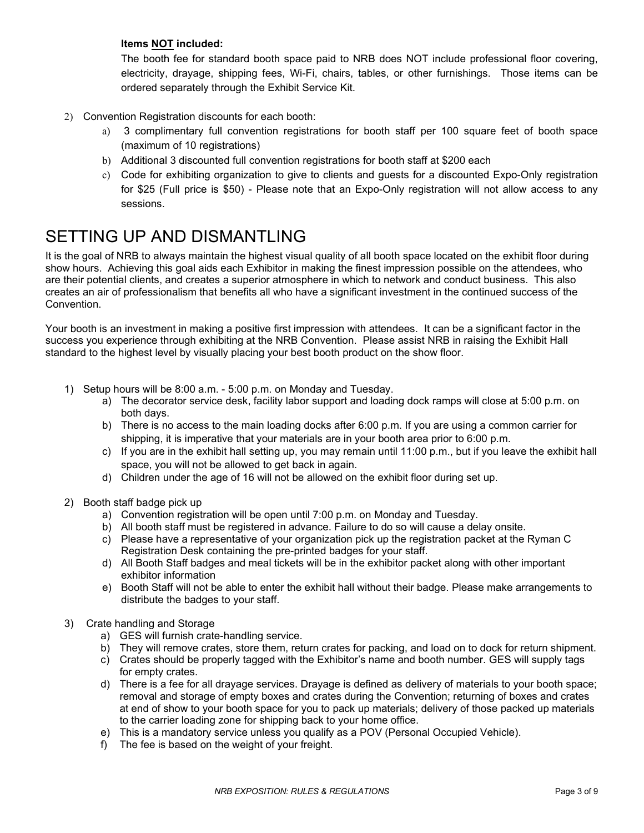#### **Items NOT included:**

The booth fee for standard booth space paid to NRB does NOT include professional floor covering, electricity, drayage, shipping fees, Wi-Fi, chairs, tables, or other furnishings. Those items can be ordered separately through the Exhibit Service Kit.

- 2) Convention Registration discounts for each booth:
	- a) 3 complimentary full convention registrations for booth staff per 100 square feet of booth space (maximum of 10 registrations)
	- b) Additional 3 discounted full convention registrations for booth staff at \$200 each
	- c) Code for exhibiting organization to give to clients and guests for a discounted Expo-Only registration for \$25 (Full price is \$50) - Please note that an Expo-Only registration will not allow access to any sessions.

# SETTING UP AND DISMANTLING

It is the goal of NRB to always maintain the highest visual quality of all booth space located on the exhibit floor during show hours. Achieving this goal aids each Exhibitor in making the finest impression possible on the attendees, who are their potential clients, and creates a superior atmosphere in which to network and conduct business. This also creates an air of professionalism that benefits all who have a significant investment in the continued success of the Convention.

Your booth is an investment in making a positive first impression with attendees. It can be a significant factor in the success you experience through exhibiting at the NRB Convention. Please assist NRB in raising the Exhibit Hall standard to the highest level by visually placing your best booth product on the show floor.

- 1) Setup hours will be 8:00 a.m. 5:00 p.m. on Monday and Tuesday.
	- a) The decorator service desk, facility labor support and loading dock ramps will close at 5:00 p.m. on both days.
	- b) There is no access to the main loading docks after 6:00 p.m. If you are using a common carrier for shipping, it is imperative that your materials are in your booth area prior to 6:00 p.m.
	- c) If you are in the exhibit hall setting up, you may remain until 11:00 p.m., but if you leave the exhibit hall space, you will not be allowed to get back in again.
	- d) Children under the age of 16 will not be allowed on the exhibit floor during set up.
- 2) Booth staff badge pick up
	- a) Convention registration will be open until 7:00 p.m. on Monday and Tuesday.
	- b) All booth staff must be registered in advance. Failure to do so will cause a delay onsite.
	- c) Please have a representative of your organization pick up the registration packet at the Ryman C Registration Desk containing the pre-printed badges for your staff.
	- d) All Booth Staff badges and meal tickets will be in the exhibitor packet along with other important exhibitor information
	- e) Booth Staff will not be able to enter the exhibit hall without their badge. Please make arrangements to distribute the badges to your staff.
- 3) Crate handling and Storage
	- a) GES will furnish crate-handling service.
	- b) They will remove crates, store them, return crates for packing, and load on to dock for return shipment.
	- c) Crates should be properly tagged with the Exhibitor's name and booth number. GES will supply tags for empty crates.
	- d) There is a fee for all drayage services. Drayage is defined as delivery of materials to your booth space; removal and storage of empty boxes and crates during the Convention; returning of boxes and crates at end of show to your booth space for you to pack up materials; delivery of those packed up materials to the carrier loading zone for shipping back to your home office.
	- e) This is a mandatory service unless you qualify as a POV (Personal Occupied Vehicle).
	- f) The fee is based on the weight of your freight.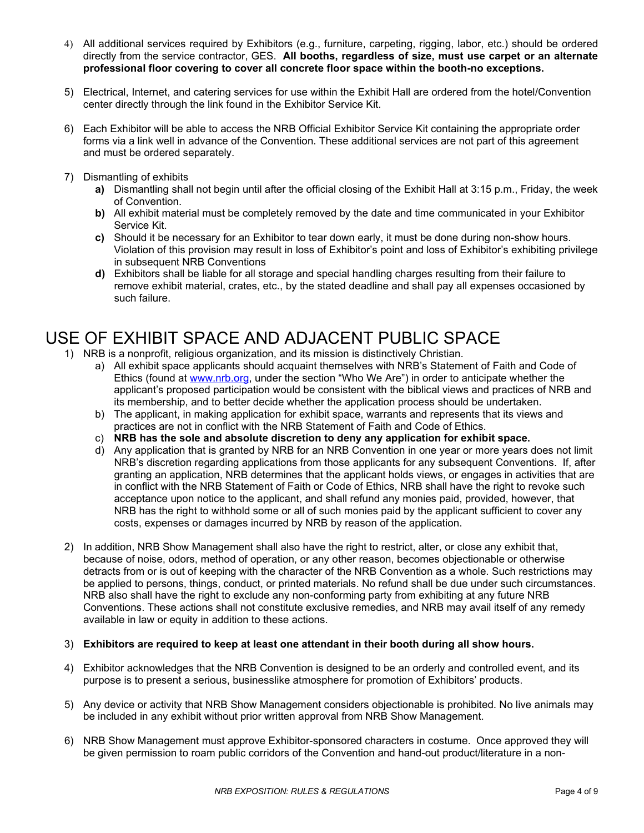- 4) All additional services required by Exhibitors (e.g., furniture, carpeting, rigging, labor, etc.) should be ordered directly from the service contractor, GES. **All booths, regardless of size, must use carpet or an alternate professional floor covering to cover all concrete floor space within the booth-no exceptions.**
- 5) Electrical, Internet, and catering services for use within the Exhibit Hall are ordered from the hotel/Convention center directly through the link found in the Exhibitor Service Kit.
- 6) Each Exhibitor will be able to access the NRB Official Exhibitor Service Kit containing the appropriate order forms via a link well in advance of the Convention. These additional services are not part of this agreement and must be ordered separately.
- 7) Dismantling of exhibits
	- **a)** Dismantling shall not begin until after the official closing of the Exhibit Hall at 3:15 p.m., Friday, the week of Convention.
	- **b)** All exhibit material must be completely removed by the date and time communicated in your Exhibitor Service Kit.
	- **c)** Should it be necessary for an Exhibitor to tear down early, it must be done during non-show hours. Violation of this provision may result in loss of Exhibitor's point and loss of Exhibitor's exhibiting privilege in subsequent NRB Conventions
	- **d)** Exhibitors shall be liable for all storage and special handling charges resulting from their failure to remove exhibit material, crates, etc., by the stated deadline and shall pay all expenses occasioned by such failure.

# USE OF EXHIBIT SPACE AND ADJACENT PUBLIC SPACE

- 1) NRB is a nonprofit, religious organization, and its mission is distinctively Christian.
	- a) All exhibit space applicants should acquaint themselves with NRB's Statement of Faith and Code of Ethics (found at [www.nrb.org,](http://www.nrb.org/) under the section "Who We Are") in order to anticipate whether the applicant's proposed participation would be consistent with the biblical views and practices of NRB and its membership, and to better decide whether the application process should be undertaken.
	- b) The applicant, in making application for exhibit space, warrants and represents that its views and practices are not in conflict with the NRB Statement of Faith and Code of Ethics.
	- c) **NRB has the sole and absolute discretion to deny any application for exhibit space.**
	- d) Any application that is granted by NRB for an NRB Convention in one year or more years does not limit NRB's discretion regarding applications from those applicants for any subsequent Conventions. If, after granting an application, NRB determines that the applicant holds views, or engages in activities that are in conflict with the NRB Statement of Faith or Code of Ethics, NRB shall have the right to revoke such acceptance upon notice to the applicant, and shall refund any monies paid, provided, however, that NRB has the right to withhold some or all of such monies paid by the applicant sufficient to cover any costs, expenses or damages incurred by NRB by reason of the application.
- 2) In addition, NRB Show Management shall also have the right to restrict, alter, or close any exhibit that, because of noise, odors, method of operation, or any other reason, becomes objectionable or otherwise detracts from or is out of keeping with the character of the NRB Convention as a whole. Such restrictions may be applied to persons, things, conduct, or printed materials. No refund shall be due under such circumstances. NRB also shall have the right to exclude any non-conforming party from exhibiting at any future NRB Conventions. These actions shall not constitute exclusive remedies, and NRB may avail itself of any remedy available in law or equity in addition to these actions.

#### 3) **Exhibitors are required to keep at least one attendant in their booth during all show hours.**

- 4) Exhibitor acknowledges that the NRB Convention is designed to be an orderly and controlled event, and its purpose is to present a serious, businesslike atmosphere for promotion of Exhibitors' products.
- 5) Any device or activity that NRB Show Management considers objectionable is prohibited. No live animals may be included in any exhibit without prior written approval from NRB Show Management.
- 6) NRB Show Management must approve Exhibitor-sponsored characters in costume. Once approved they will be given permission to roam public corridors of the Convention and hand-out product/literature in a non-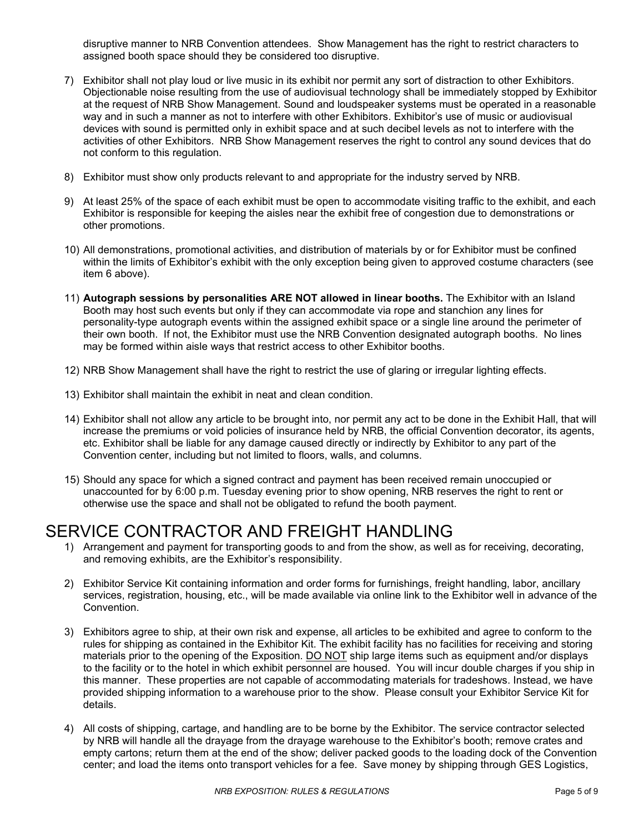disruptive manner to NRB Convention attendees. Show Management has the right to restrict characters to assigned booth space should they be considered too disruptive.

- 7) Exhibitor shall not play loud or live music in its exhibit nor permit any sort of distraction to other Exhibitors. Objectionable noise resulting from the use of audiovisual technology shall be immediately stopped by Exhibitor at the request of NRB Show Management. Sound and loudspeaker systems must be operated in a reasonable way and in such a manner as not to interfere with other Exhibitors. Exhibitor's use of music or audiovisual devices with sound is permitted only in exhibit space and at such decibel levels as not to interfere with the activities of other Exhibitors. NRB Show Management reserves the right to control any sound devices that do not conform to this regulation.
- 8) Exhibitor must show only products relevant to and appropriate for the industry served by NRB.
- 9) At least 25% of the space of each exhibit must be open to accommodate visiting traffic to the exhibit, and each Exhibitor is responsible for keeping the aisles near the exhibit free of congestion due to demonstrations or other promotions.
- 10) All demonstrations, promotional activities, and distribution of materials by or for Exhibitor must be confined within the limits of Exhibitor's exhibit with the only exception being given to approved costume characters (see item 6 above).
- 11) **Autograph sessions by personalities ARE NOT allowed in linear booths.** The Exhibitor with an Island Booth may host such events but only if they can accommodate via rope and stanchion any lines for personality-type autograph events within the assigned exhibit space or a single line around the perimeter of their own booth. If not, the Exhibitor must use the NRB Convention designated autograph booths. No lines may be formed within aisle ways that restrict access to other Exhibitor booths.
- 12) NRB Show Management shall have the right to restrict the use of glaring or irregular lighting effects.
- 13) Exhibitor shall maintain the exhibit in neat and clean condition.
- 14) Exhibitor shall not allow any article to be brought into, nor permit any act to be done in the Exhibit Hall, that will increase the premiums or void policies of insurance held by NRB, the official Convention decorator, its agents, etc. Exhibitor shall be liable for any damage caused directly or indirectly by Exhibitor to any part of the Convention center, including but not limited to floors, walls, and columns.
- 15) Should any space for which a signed contract and payment has been received remain unoccupied or unaccounted for by 6:00 p.m. Tuesday evening prior to show opening, NRB reserves the right to rent or otherwise use the space and shall not be obligated to refund the booth payment.

## SERVICE CONTRACTOR AND FREIGHT HANDLING

- 1) Arrangement and payment for transporting goods to and from the show, as well as for receiving, decorating, and removing exhibits, are the Exhibitor's responsibility.
- 2) Exhibitor Service Kit containing information and order forms for furnishings, freight handling, labor, ancillary services, registration, housing, etc., will be made available via online link to the Exhibitor well in advance of the Convention.
- 3) Exhibitors agree to ship, at their own risk and expense, all articles to be exhibited and agree to conform to the rules for shipping as contained in the Exhibitor Kit. The exhibit facility has no facilities for receiving and storing materials prior to the opening of the Exposition. DO NOT ship large items such as equipment and/or displays to the facility or to the hotel in which exhibit personnel are housed. You will incur double charges if you ship in this manner. These properties are not capable of accommodating materials for tradeshows. Instead, we have provided shipping information to a warehouse prior to the show. Please consult your Exhibitor Service Kit for details.
- 4) All costs of shipping, cartage, and handling are to be borne by the Exhibitor. The service contractor selected by NRB will handle all the drayage from the drayage warehouse to the Exhibitor's booth; remove crates and empty cartons; return them at the end of the show; deliver packed goods to the loading dock of the Convention center; and load the items onto transport vehicles for a fee. Save money by shipping through GES Logistics,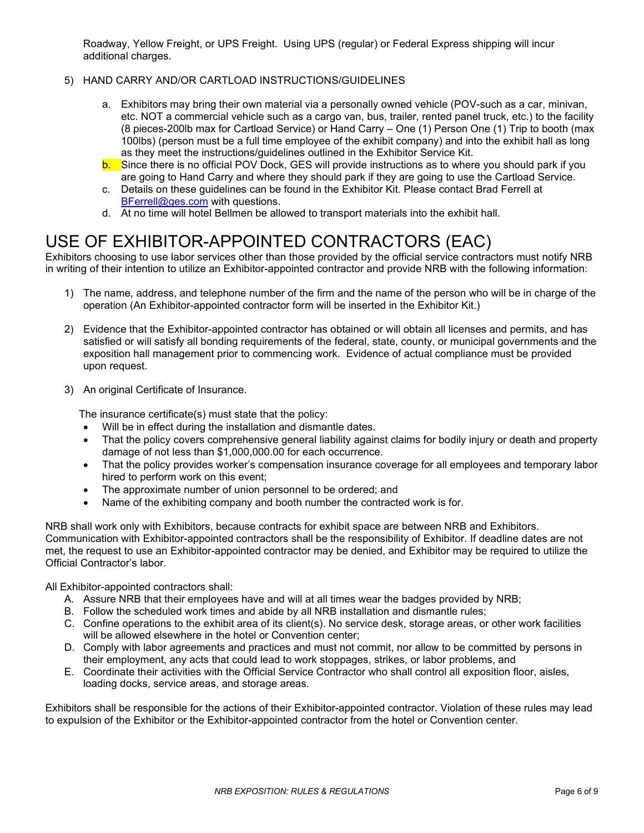Roadway, Yellow Freight, or UPS Freight. Using UPS (regular) or Federal Express shipping will incur additional charges.

- 5) HAND CARRY AND/OR CARTLOAD INSTRUCTIONS/GUIDELINES
	- a. Exhibitors may bring their own material via a personally owned vehicle (POV-such as a car, minivan, etc. NOT a commercial vehicle such as a cargo van, bus, trailer, rented panel truck, etc.) to the facility (8 pieces-200lb max for Cartload Service) or Hand Carry – One (1) Person One (1) Trip to booth (max 100lbs) (person must be a full time employee of the exhibit company) and into the exhibit hall as long as they meet the instructions/guidelines outlined in the Exhibitor Service Kit.
	- b. Since there is no official POV Dock, GES will provide instructions as to where you should park if you are going to Hand Carry and where they should park if they are going to use the Cartload Service.
	- c. Details on these guidelines can be found in the Exhibitor Kit. Please contact Brad Ferrell at [BFerrell@ges.com](mailto:BFerrell@ges.com) with questions.
	- d. At no time will hotel Bellmen be allowed to transport materials into the exhibit hall.

# USE OF EXHIBITOR-APPOINTED CONTRACTORS (EAC)

Exhibitors choosing to use labor services other than those provided by the official service contractors must notify NRB in writing of their intention to utilize an Exhibitor-appointed contractor and provide NRB with the following information:

- 1) The name, address, and telephone number of the firm and the name of the person who will be in charge of the operation (An Exhibitor-appointed contractor form will be inserted in the Exhibitor Kit.)
- 2) Evidence that the Exhibitor-appointed contractor has obtained or will obtain all licenses and permits, and has satisfied or will satisfy all bonding requirements of the federal, state, county, or municipal governments and the exposition hall management prior to commencing work. Evidence of actual compliance must be provided upon request.
- 3) An original Certificate of Insurance.

The insurance certificate(s) must state that the policy:

- Will be in effect during the installation and dismantle dates.
- That the policy covers comprehensive general liability against claims for bodily injury or death and property damage of not less than \$1,000,000.00 for each occurrence.
- That the policy provides worker's compensation insurance coverage for all employees and temporary labor hired to perform work on this event;
- The approximate number of union personnel to be ordered; and
- Name of the exhibiting company and booth number the contracted work is for.

NRB shall work only with Exhibitors, because contracts for exhibit space are between NRB and Exhibitors. Communication with Exhibitor-appointed contractors shall be the responsibility of Exhibitor. If deadline dates are not met, the request to use an Exhibitor-appointed contractor may be denied, and Exhibitor may be required to utilize the Official Contractor's labor.

All Exhibitor-appointed contractors shall:

- A. Assure NRB that their employees have and will at all times wear the badges provided by NRB;
- B. Follow the scheduled work times and abide by all NRB installation and dismantle rules;
- C. Confine operations to the exhibit area of its client(s). No service desk, storage areas, or other work facilities will be allowed elsewhere in the hotel or Convention center;
- D. Comply with labor agreements and practices and must not commit, nor allow to be committed by persons in their employment, any acts that could lead to work stoppages, strikes, or labor problems, and
- E. Coordinate their activities with the Official Service Contractor who shall control all exposition floor, aisles, loading docks, service areas, and storage areas.

Exhibitors shall be responsible for the actions of their Exhibitor-appointed contractor. Violation of these rules may lead to expulsion of the Exhibitor or the Exhibitor-appointed contractor from the hotel or Convention center.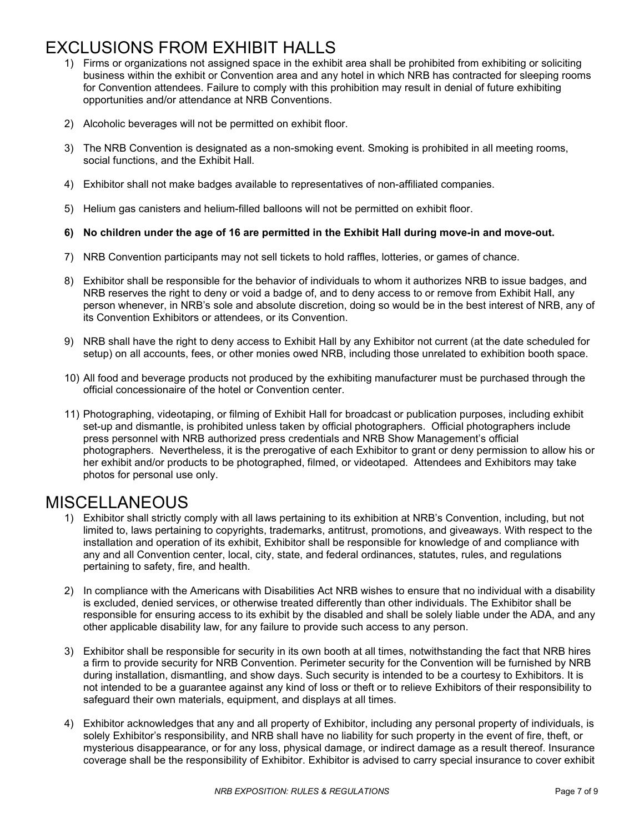# EXCLUSIONS FROM EXHIBIT HALLS

- 1) Firms or organizations not assigned space in the exhibit area shall be prohibited from exhibiting or soliciting business within the exhibit or Convention area and any hotel in which NRB has contracted for sleeping rooms for Convention attendees. Failure to comply with this prohibition may result in denial of future exhibiting opportunities and/or attendance at NRB Conventions.
- 2) Alcoholic beverages will not be permitted on exhibit floor.
- 3) The NRB Convention is designated as a non-smoking event. Smoking is prohibited in all meeting rooms, social functions, and the Exhibit Hall.
- 4) Exhibitor shall not make badges available to representatives of non-affiliated companies.
- 5) Helium gas canisters and helium-filled balloons will not be permitted on exhibit floor.
- **6) No children under the age of 16 are permitted in the Exhibit Hall during move-in and move-out.**
- 7) NRB Convention participants may not sell tickets to hold raffles, lotteries, or games of chance.
- 8) Exhibitor shall be responsible for the behavior of individuals to whom it authorizes NRB to issue badges, and NRB reserves the right to deny or void a badge of, and to deny access to or remove from Exhibit Hall, any person whenever, in NRB's sole and absolute discretion, doing so would be in the best interest of NRB, any of its Convention Exhibitors or attendees, or its Convention.
- 9) NRB shall have the right to deny access to Exhibit Hall by any Exhibitor not current (at the date scheduled for setup) on all accounts, fees, or other monies owed NRB, including those unrelated to exhibition booth space.
- 10) All food and beverage products not produced by the exhibiting manufacturer must be purchased through the official concessionaire of the hotel or Convention center.
- 11) Photographing, videotaping, or filming of Exhibit Hall for broadcast or publication purposes, including exhibit set-up and dismantle, is prohibited unless taken by official photographers. Official photographers include press personnel with NRB authorized press credentials and NRB Show Management's official photographers. Nevertheless, it is the prerogative of each Exhibitor to grant or deny permission to allow his or her exhibit and/or products to be photographed, filmed, or videotaped. Attendees and Exhibitors may take photos for personal use only.

#### MISCELLANEOUS

- 1) Exhibitor shall strictly comply with all laws pertaining to its exhibition at NRB's Convention, including, but not limited to, laws pertaining to copyrights, trademarks, antitrust, promotions, and giveaways. With respect to the installation and operation of its exhibit, Exhibitor shall be responsible for knowledge of and compliance with any and all Convention center, local, city, state, and federal ordinances, statutes, rules, and regulations pertaining to safety, fire, and health.
- 2) In compliance with the Americans with Disabilities Act NRB wishes to ensure that no individual with a disability is excluded, denied services, or otherwise treated differently than other individuals. The Exhibitor shall be responsible for ensuring access to its exhibit by the disabled and shall be solely liable under the ADA, and any other applicable disability law, for any failure to provide such access to any person.
- 3) Exhibitor shall be responsible for security in its own booth at all times, notwithstanding the fact that NRB hires a firm to provide security for NRB Convention. Perimeter security for the Convention will be furnished by NRB during installation, dismantling, and show days. Such security is intended to be a courtesy to Exhibitors. It is not intended to be a guarantee against any kind of loss or theft or to relieve Exhibitors of their responsibility to safeguard their own materials, equipment, and displays at all times.
- 4) Exhibitor acknowledges that any and all property of Exhibitor, including any personal property of individuals, is solely Exhibitor's responsibility, and NRB shall have no liability for such property in the event of fire, theft, or mysterious disappearance, or for any loss, physical damage, or indirect damage as a result thereof. Insurance coverage shall be the responsibility of Exhibitor. Exhibitor is advised to carry special insurance to cover exhibit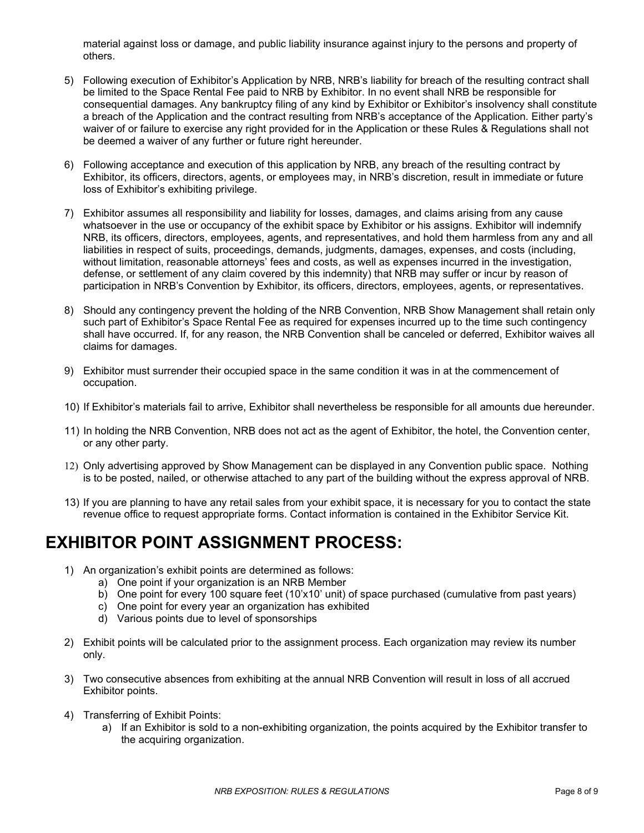material against loss or damage, and public liability insurance against injury to the persons and property of others.

- 5) Following execution of Exhibitor's Application by NRB, NRB's liability for breach of the resulting contract shall be limited to the Space Rental Fee paid to NRB by Exhibitor. In no event shall NRB be responsible for consequential damages. Any bankruptcy filing of any kind by Exhibitor or Exhibitor's insolvency shall constitute a breach of the Application and the contract resulting from NRB's acceptance of the Application. Either party's waiver of or failure to exercise any right provided for in the Application or these Rules & Regulations shall not be deemed a waiver of any further or future right hereunder.
- 6) Following acceptance and execution of this application by NRB, any breach of the resulting contract by Exhibitor, its officers, directors, agents, or employees may, in NRB's discretion, result in immediate or future loss of Exhibitor's exhibiting privilege.
- 7) Exhibitor assumes all responsibility and liability for losses, damages, and claims arising from any cause whatsoever in the use or occupancy of the exhibit space by Exhibitor or his assigns. Exhibitor will indemnify NRB, its officers, directors, employees, agents, and representatives, and hold them harmless from any and all liabilities in respect of suits, proceedings, demands, judgments, damages, expenses, and costs (including, without limitation, reasonable attorneys' fees and costs, as well as expenses incurred in the investigation, defense, or settlement of any claim covered by this indemnity) that NRB may suffer or incur by reason of participation in NRB's Convention by Exhibitor, its officers, directors, employees, agents, or representatives.
- 8) Should any contingency prevent the holding of the NRB Convention, NRB Show Management shall retain only such part of Exhibitor's Space Rental Fee as required for expenses incurred up to the time such contingency shall have occurred. If, for any reason, the NRB Convention shall be canceled or deferred, Exhibitor waives all claims for damages.
- 9) Exhibitor must surrender their occupied space in the same condition it was in at the commencement of occupation.
- 10) If Exhibitor's materials fail to arrive, Exhibitor shall nevertheless be responsible for all amounts due hereunder.
- 11) In holding the NRB Convention, NRB does not act as the agent of Exhibitor, the hotel, the Convention center, or any other party.
- 12) Only advertising approved by Show Management can be displayed in any Convention public space. Nothing is to be posted, nailed, or otherwise attached to any part of the building without the express approval of NRB.
- 13) If you are planning to have any retail sales from your exhibit space, it is necessary for you to contact the state revenue office to request appropriate forms. Contact information is contained in the Exhibitor Service Kit.

### **EXHIBITOR POINT ASSIGNMENT PROCESS:**

- 1) An organization's exhibit points are determined as follows:
	- a) One point if your organization is an NRB Member
	- b) One point for every 100 square feet (10'x10' unit) of space purchased (cumulative from past years)
	- c) One point for every year an organization has exhibited
	- d) Various points due to level of sponsorships
- 2) Exhibit points will be calculated prior to the assignment process. Each organization may review its number only.
- 3) Two consecutive absences from exhibiting at the annual NRB Convention will result in loss of all accrued Exhibitor points.
- 4) Transferring of Exhibit Points:
	- a) If an Exhibitor is sold to a non-exhibiting organization, the points acquired by the Exhibitor transfer to the acquiring organization.